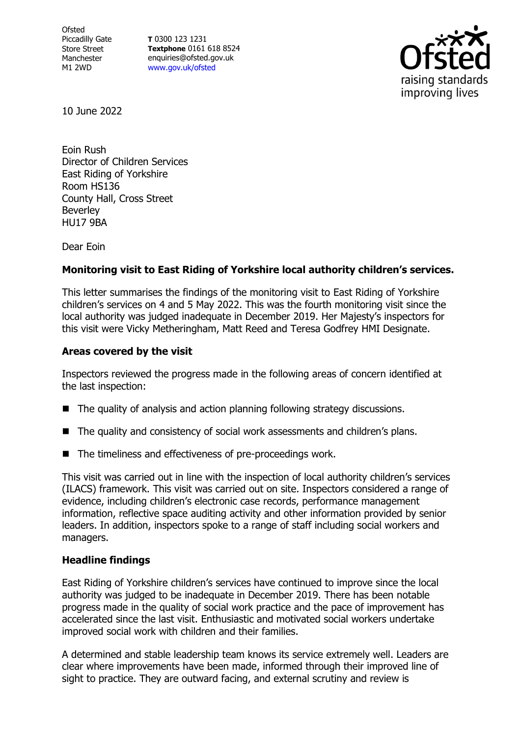**Ofsted** Piccadilly Gate Store Street Manchester M1 2WD

**T** 0300 123 1231 **Textphone** 0161 618 8524 enquiries@ofsted.gov.uk [www.gov.uk/ofsted](http://www.gov.uk/ofsted)



10 June 2022

Eoin Rush Director of Children Services East Riding of Yorkshire Room HS136 County Hall, Cross Street **Beverley** HU17 9BA

Dear Eoin

## **Monitoring visit to East Riding of Yorkshire local authority children's services.**

This letter summarises the findings of the monitoring visit to East Riding of Yorkshire children's services on 4 and 5 May 2022. This was the fourth monitoring visit since the local authority was judged inadequate in December 2019. Her Majesty's inspectors for this visit were Vicky Metheringham, Matt Reed and Teresa Godfrey HMI Designate.

## **Areas covered by the visit**

Inspectors reviewed the progress made in the following areas of concern identified at the last inspection:

- The quality of analysis and action planning following strategy discussions.
- The quality and consistency of social work assessments and children's plans.
- The timeliness and effectiveness of pre-proceedings work.

This visit was carried out in line with the inspection of local authority children's services (ILACS) framework. This visit was carried out on site. Inspectors considered a range of evidence, including children's electronic case records, performance management information, reflective space auditing activity and other information provided by senior leaders. In addition, inspectors spoke to a range of staff including social workers and managers.

## **Headline findings**

East Riding of Yorkshire children's services have continued to improve since the local authority was judged to be inadequate in December 2019. There has been notable progress made in the quality of social work practice and the pace of improvement has accelerated since the last visit. Enthusiastic and motivated social workers undertake improved social work with children and their families.

A determined and stable leadership team knows its service extremely well. Leaders are clear where improvements have been made, informed through their improved line of sight to practice. They are outward facing, and external scrutiny and review is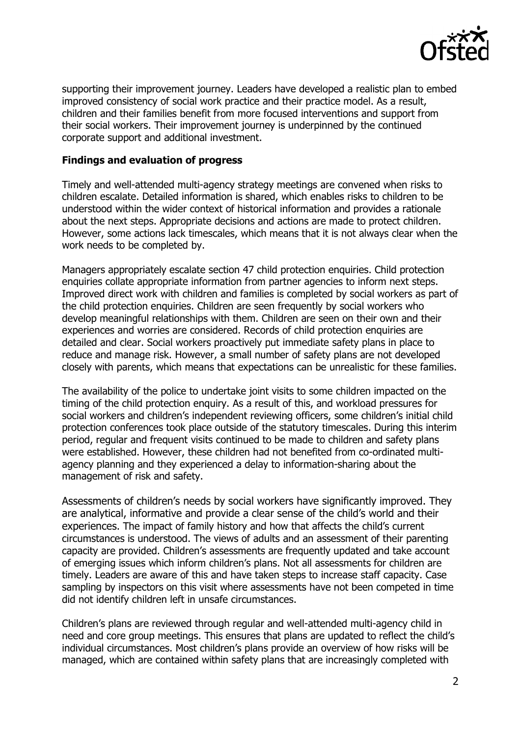

supporting their improvement journey. Leaders have developed a realistic plan to embed improved consistency of social work practice and their practice model. As a result, children and their families benefit from more focused interventions and support from their social workers. Their improvement journey is underpinned by the continued corporate support and additional investment.

## **Findings and evaluation of progress**

Timely and well-attended multi-agency strategy meetings are convened when risks to children escalate. Detailed information is shared, which enables risks to children to be understood within the wider context of historical information and provides a rationale about the next steps. Appropriate decisions and actions are made to protect children. However, some actions lack timescales, which means that it is not always clear when the work needs to be completed by.

Managers appropriately escalate section 47 child protection enquiries. Child protection enquiries collate appropriate information from partner agencies to inform next steps. Improved direct work with children and families is completed by social workers as part of the child protection enquiries. Children are seen frequently by social workers who develop meaningful relationships with them. Children are seen on their own and their experiences and worries are considered. Records of child protection enquiries are detailed and clear. Social workers proactively put immediate safety plans in place to reduce and manage risk. However, a small number of safety plans are not developed closely with parents, which means that expectations can be unrealistic for these families.

The availability of the police to undertake joint visits to some children impacted on the timing of the child protection enquiry. As a result of this, and workload pressures for social workers and children's independent reviewing officers, some children's initial child protection conferences took place outside of the statutory timescales. During this interim period, regular and frequent visits continued to be made to children and safety plans were established. However, these children had not benefited from co-ordinated multiagency planning and they experienced a delay to information-sharing about the management of risk and safety.

Assessments of children's needs by social workers have significantly improved. They are analytical, informative and provide a clear sense of the child's world and their experiences. The impact of family history and how that affects the child's current circumstances is understood. The views of adults and an assessment of their parenting capacity are provided. Children's assessments are frequently updated and take account of emerging issues which inform children's plans. Not all assessments for children are timely. Leaders are aware of this and have taken steps to increase staff capacity. Case sampling by inspectors on this visit where assessments have not been competed in time did not identify children left in unsafe circumstances.

Children's plans are reviewed through regular and well-attended multi-agency child in need and core group meetings. This ensures that plans are updated to reflect the child's individual circumstances. Most children's plans provide an overview of how risks will be managed, which are contained within safety plans that are increasingly completed with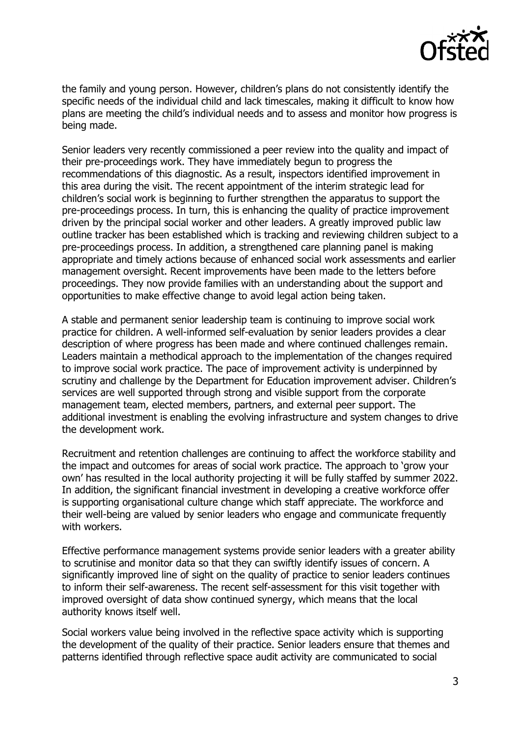

the family and young person. However, children's plans do not consistently identify the specific needs of the individual child and lack timescales, making it difficult to know how plans are meeting the child's individual needs and to assess and monitor how progress is being made.

Senior leaders very recently commissioned a peer review into the quality and impact of their pre-proceedings work. They have immediately begun to progress the recommendations of this diagnostic. As a result, inspectors identified improvement in this area during the visit. The recent appointment of the interim strategic lead for children's social work is beginning to further strengthen the apparatus to support the pre-proceedings process. In turn, this is enhancing the quality of practice improvement driven by the principal social worker and other leaders. A greatly improved public law outline tracker has been established which is tracking and reviewing children subject to a pre-proceedings process. In addition, a strengthened care planning panel is making appropriate and timely actions because of enhanced social work assessments and earlier management oversight. Recent improvements have been made to the letters before proceedings. They now provide families with an understanding about the support and opportunities to make effective change to avoid legal action being taken.

A stable and permanent senior leadership team is continuing to improve social work practice for children. A well-informed self-evaluation by senior leaders provides a clear description of where progress has been made and where continued challenges remain. Leaders maintain a methodical approach to the implementation of the changes required to improve social work practice. The pace of improvement activity is underpinned by scrutiny and challenge by the Department for Education improvement adviser. Children's services are well supported through strong and visible support from the corporate management team, elected members, partners, and external peer support. The additional investment is enabling the evolving infrastructure and system changes to drive the development work.

Recruitment and retention challenges are continuing to affect the workforce stability and the impact and outcomes for areas of social work practice. The approach to 'grow your own' has resulted in the local authority projecting it will be fully staffed by summer 2022. In addition, the significant financial investment in developing a creative workforce offer is supporting organisational culture change which staff appreciate. The workforce and their well-being are valued by senior leaders who engage and communicate frequently with workers.

Effective performance management systems provide senior leaders with a greater ability to scrutinise and monitor data so that they can swiftly identify issues of concern. A significantly improved line of sight on the quality of practice to senior leaders continues to inform their self-awareness. The recent self-assessment for this visit together with improved oversight of data show continued synergy, which means that the local authority knows itself well.

Social workers value being involved in the reflective space activity which is supporting the development of the quality of their practice. Senior leaders ensure that themes and patterns identified through reflective space audit activity are communicated to social